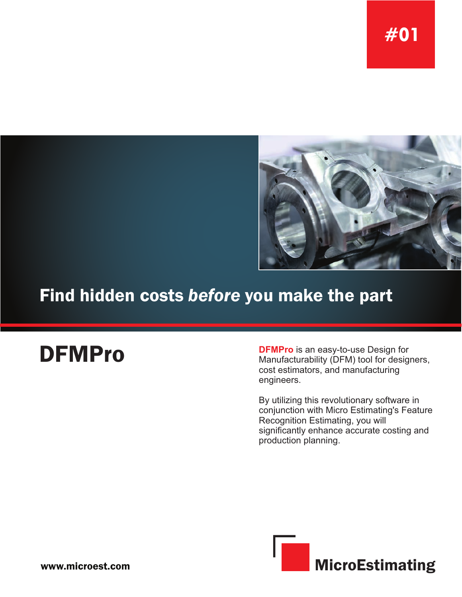

# Find hidden costs *before* you make the part

**DFMPro DFMPro** is an easy-to-use Design for<br>Manufacturability (DFM) tool for design Manufacturability (DFM) tool for designers, cost estimators, and manufacturing engineers.

> By utilizing this revolutionary software in conjunction with Micro Estimating's Feature Recognition Estimating, you will significantly enhance accurate costing and production planning.

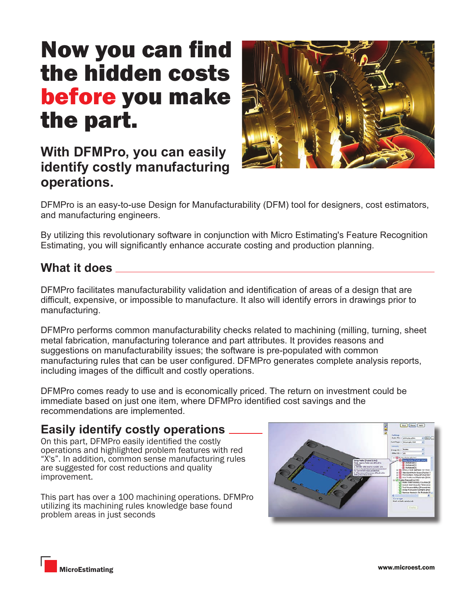# Now you can find the hidden costs before you make the part.

## **With DFMPro, you can easily identify costly manufacturing operations.**

DFMPro is an easy-to-use Design for Manufacturability (DFM) tool for designers, cost estimators, and manufacturing engineers.

By utilizing this revolutionary software in conjunction with Micro Estimating's Feature Recognition Estimating, you will significantly enhance accurate costing and production planning.

### **What it does**

DFMPro facilitates manufacturability validation and identification of areas of a design that are difficult, expensive, or impossible to manufacture. It also will identify errors in drawings prior to manufacturing.

DFMPro performs common manufacturability checks related to machining (milling, turning, sheet metal fabrication, manufacturing tolerance and part attributes. It provides reasons and suggestions on manufacturability issues; the software is pre-populated with common manufacturing rules that can be user configured. DFMPro generates complete analysis reports, including images of the difficult and costly operations.

DFMPro comes ready to use and is economically priced. The return on investment could be immediate based on just one item, where DFMPro identified cost savings and the recommendations are implemented.

#### **Easily identify costly operations**

On this part, DFMPro easily identified the costly operations and highlighted problem features with red "X's". In addition, common sense manufacturing rules are suggested for cost reductions and quality improvement.

This part has over a 100 machining operations. DFMPro utilizing its machining rules knowledge base found problem areas in just seconds



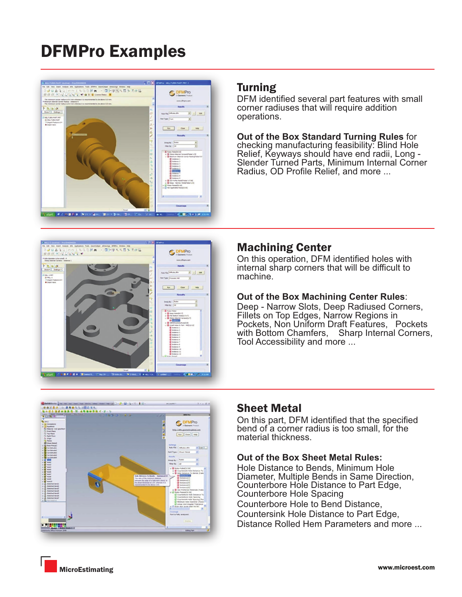# DFMPro Examples





#### Turning

DFM identified several part features with small corner radiuses that will require addition operations.

**Out of the Box Standard Turning Rules** for checking manufacturing feasibility: Blind Hole Relief, Keyways should have end radii, Long - Slender Turned Parts, Minimum Internal Corner Radius, OD Profile Relief, and more ...

#### Machining Center

On this operation, DFM identified holes with internal sharp corners that will be difficult to machine.

#### **Out of the Box Machining Center Rules**:

Deep - Narrow Slots, Deep Radiused Corners, Fillets on Top Edges, Narrow Regions in Pockets, Non Uniform Draft Features, Pockets with Bottom Chamfers, Sharp Internal Corners, Tool Accessibility and more ...



#### Sheet Metal

On this part, DFM identified that the specified bend of a corner radius is too small, for the material thickness.

#### **Out of the Box Sheet Metal Rules:**

Hole Distance to Bends, Minimum Hole Diameter, Multiple Bends in Same Direction, Counterbore Hole Distance to Part Edge, Counterbore Hole Spacing Counterbore Hole to Bend Distance, Countersink Hole Distance to Part Edge, Distance Rolled Hem Parameters and more ...